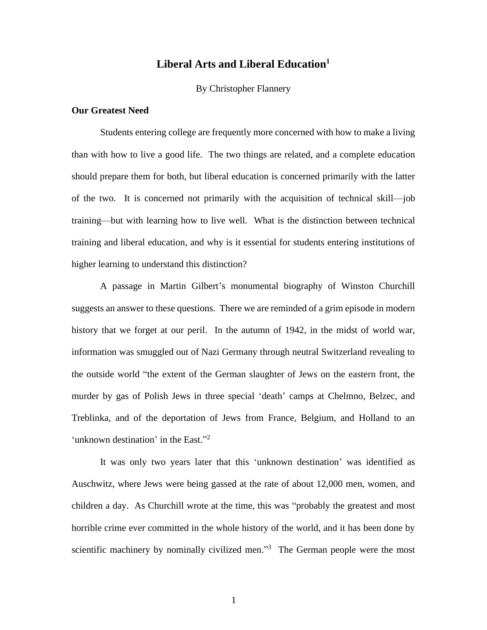# **Liberal Arts and Liberal Education<sup>1</sup>**

#### By Christopher Flannery

# **Our Greatest Need**

Students entering college are frequently more concerned with how to make a living than with how to live a good life. The two things are related, and a complete education should prepare them for both, but liberal education is concerned primarily with the latter of the two. It is concerned not primarily with the acquisition of technical skill—job training—but with learning how to live well. What is the distinction between technical training and liberal education, and why is it essential for students entering institutions of higher learning to understand this distinction?

A passage in Martin Gilbert's monumental biography of Winston Churchill suggests an answer to these questions. There we are reminded of a grim episode in modern history that we forget at our peril. In the autumn of 1942, in the midst of world war, information was smuggled out of Nazi Germany through neutral Switzerland revealing to the outside world "the extent of the German slaughter of Jews on the eastern front, the murder by gas of Polish Jews in three special 'death' camps at Chelmno, Belzec, and Treblinka, and of the deportation of Jews from France, Belgium, and Holland to an 'unknown destination' in the East."<sup>2</sup>

It was only two years later that this 'unknown destination' was identified as Auschwitz, where Jews were being gassed at the rate of about 12,000 men, women, and children a day. As Churchill wrote at the time, this was "probably the greatest and most horrible crime ever committed in the whole history of the world, and it has been done by scientific machinery by nominally civilized men."<sup>3</sup> The German people were the most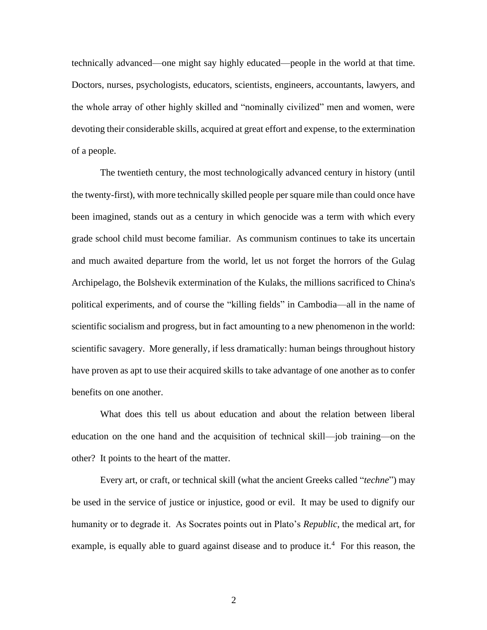technically advanced—one might say highly educated—people in the world at that time. Doctors, nurses, psychologists, educators, scientists, engineers, accountants, lawyers, and the whole array of other highly skilled and "nominally civilized" men and women, were devoting their considerable skills, acquired at great effort and expense, to the extermination of a people.

The twentieth century, the most technologically advanced century in history (until the twenty-first), with more technically skilled people per square mile than could once have been imagined, stands out as a century in which genocide was a term with which every grade school child must become familiar. As communism continues to take its uncertain and much awaited departure from the world, let us not forget the horrors of the Gulag Archipelago, the Bolshevik extermination of the Kulaks, the millions sacrificed to China's political experiments, and of course the "killing fields" in Cambodia—all in the name of scientific socialism and progress, but in fact amounting to a new phenomenon in the world: scientific savagery. More generally, if less dramatically: human beings throughout history have proven as apt to use their acquired skills to take advantage of one another as to confer benefits on one another.

What does this tell us about education and about the relation between liberal education on the one hand and the acquisition of technical skill—job training—on the other? It points to the heart of the matter.

Every art, or craft, or technical skill (what the ancient Greeks called "*techne*") may be used in the service of justice or injustice, good or evil. It may be used to dignify our humanity or to degrade it. As Socrates points out in Plato's *Republic*, the medical art, for example, is equally able to guard against disease and to produce it.<sup>4</sup> For this reason, the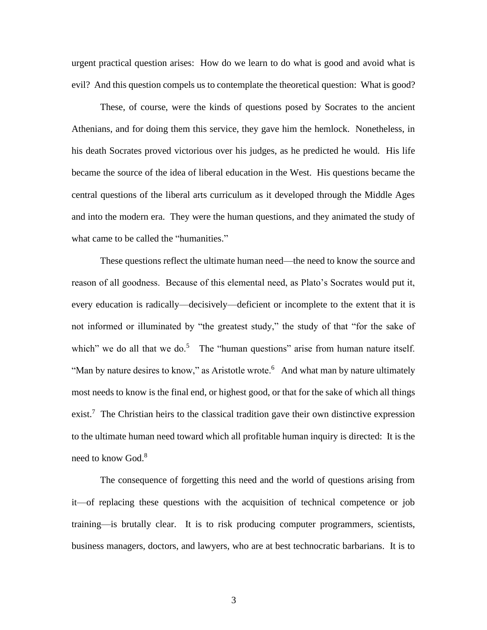urgent practical question arises: How do we learn to do what is good and avoid what is evil? And this question compels us to contemplate the theoretical question: What is good?

These, of course, were the kinds of questions posed by Socrates to the ancient Athenians, and for doing them this service, they gave him the hemlock. Nonetheless, in his death Socrates proved victorious over his judges, as he predicted he would. His life became the source of the idea of liberal education in the West. His questions became the central questions of the liberal arts curriculum as it developed through the Middle Ages and into the modern era. They were the human questions, and they animated the study of what came to be called the "humanities."

These questions reflect the ultimate human need—the need to know the source and reason of all goodness. Because of this elemental need, as Plato's Socrates would put it, every education is radically—decisively—deficient or incomplete to the extent that it is not informed or illuminated by "the greatest study," the study of that "for the sake of which" we do all that we do.<sup>5</sup> The "human questions" arise from human nature itself. "Man by nature desires to know," as Aristotle wrote.<sup>6</sup> And what man by nature ultimately most needs to know is the final end, or highest good, or that for the sake of which all things exist.<sup>7</sup> The Christian heirs to the classical tradition gave their own distinctive expression to the ultimate human need toward which all profitable human inquiry is directed: It is the need to know God.<sup>8</sup>

The consequence of forgetting this need and the world of questions arising from it—of replacing these questions with the acquisition of technical competence or job training—is brutally clear. It is to risk producing computer programmers, scientists, business managers, doctors, and lawyers, who are at best technocratic barbarians. It is to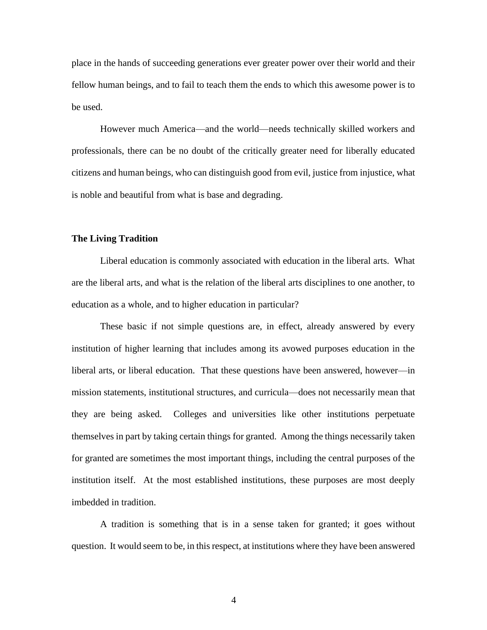place in the hands of succeeding generations ever greater power over their world and their fellow human beings, and to fail to teach them the ends to which this awesome power is to be used.

However much America—and the world—needs technically skilled workers and professionals, there can be no doubt of the critically greater need for liberally educated citizens and human beings, who can distinguish good from evil, justice from injustice, what is noble and beautiful from what is base and degrading.

## **The Living Tradition**

Liberal education is commonly associated with education in the liberal arts. What are the liberal arts, and what is the relation of the liberal arts disciplines to one another, to education as a whole, and to higher education in particular?

These basic if not simple questions are, in effect, already answered by every institution of higher learning that includes among its avowed purposes education in the liberal arts, or liberal education. That these questions have been answered, however—in mission statements, institutional structures, and curricula—does not necessarily mean that they are being asked. Colleges and universities like other institutions perpetuate themselves in part by taking certain things for granted. Among the things necessarily taken for granted are sometimes the most important things, including the central purposes of the institution itself. At the most established institutions, these purposes are most deeply imbedded in tradition.

A tradition is something that is in a sense taken for granted; it goes without question. It would seem to be, in this respect, at institutions where they have been answered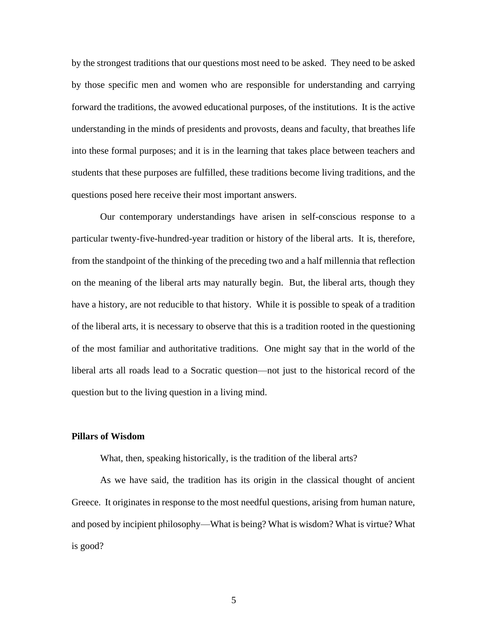by the strongest traditions that our questions most need to be asked. They need to be asked by those specific men and women who are responsible for understanding and carrying forward the traditions, the avowed educational purposes, of the institutions. It is the active understanding in the minds of presidents and provosts, deans and faculty, that breathes life into these formal purposes; and it is in the learning that takes place between teachers and students that these purposes are fulfilled, these traditions become living traditions, and the questions posed here receive their most important answers.

Our contemporary understandings have arisen in self-conscious response to a particular twenty-five-hundred-year tradition or history of the liberal arts. It is, therefore, from the standpoint of the thinking of the preceding two and a half millennia that reflection on the meaning of the liberal arts may naturally begin. But, the liberal arts, though they have a history, are not reducible to that history. While it is possible to speak of a tradition of the liberal arts, it is necessary to observe that this is a tradition rooted in the questioning of the most familiar and authoritative traditions. One might say that in the world of the liberal arts all roads lead to a Socratic question—not just to the historical record of the question but to the living question in a living mind.

### **Pillars of Wisdom**

What, then, speaking historically, is the tradition of the liberal arts?

As we have said, the tradition has its origin in the classical thought of ancient Greece. It originates in response to the most needful questions, arising from human nature, and posed by incipient philosophy—What is being? What is wisdom? What is virtue? What is good?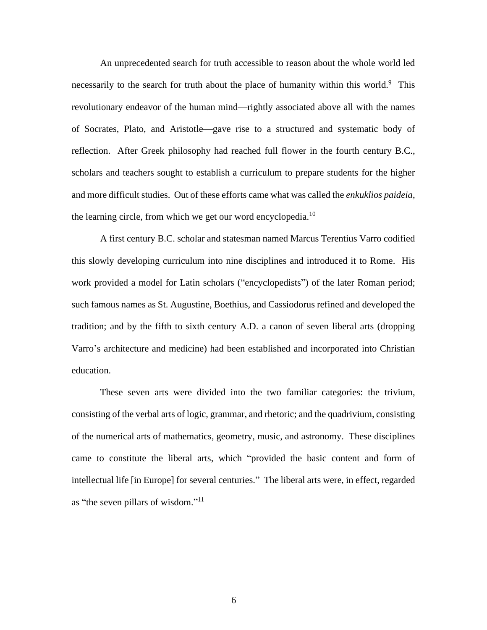An unprecedented search for truth accessible to reason about the whole world led necessarily to the search for truth about the place of humanity within this world.<sup>9</sup> This revolutionary endeavor of the human mind—rightly associated above all with the names of Socrates, Plato, and Aristotle—gave rise to a structured and systematic body of reflection. After Greek philosophy had reached full flower in the fourth century B.C., scholars and teachers sought to establish a curriculum to prepare students for the higher and more difficult studies. Out of these efforts came what was called the *enkuklios paideia*, the learning circle, from which we get our word encyclopedia.<sup>10</sup>

A first century B.C. scholar and statesman named Marcus Terentius Varro codified this slowly developing curriculum into nine disciplines and introduced it to Rome. His work provided a model for Latin scholars ("encyclopedists") of the later Roman period; such famous names as St. Augustine, Boethius, and Cassiodorus refined and developed the tradition; and by the fifth to sixth century A.D. a canon of seven liberal arts (dropping Varro's architecture and medicine) had been established and incorporated into Christian education.

These seven arts were divided into the two familiar categories: the trivium, consisting of the verbal arts of logic, grammar, and rhetoric; and the quadrivium, consisting of the numerical arts of mathematics, geometry, music, and astronomy. These disciplines came to constitute the liberal arts, which "provided the basic content and form of intellectual life [in Europe] for several centuries." The liberal arts were, in effect, regarded as "the seven pillars of wisdom."<sup>11</sup>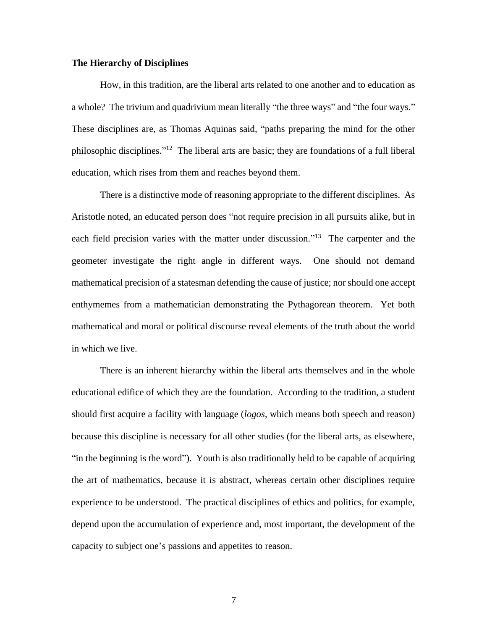#### **The Hierarchy of Disciplines**

How, in this tradition, are the liberal arts related to one another and to education as a whole? The trivium and quadrivium mean literally "the three ways" and "the four ways." These disciplines are, as Thomas Aquinas said, "paths preparing the mind for the other philosophic disciplines."<sup>12</sup> The liberal arts are basic; they are foundations of a full liberal education, which rises from them and reaches beyond them.

There is a distinctive mode of reasoning appropriate to the different disciplines. As Aristotle noted, an educated person does "not require precision in all pursuits alike, but in each field precision varies with the matter under discussion."<sup>13</sup> The carpenter and the geometer investigate the right angle in different ways. One should not demand mathematical precision of a statesman defending the cause of justice; nor should one accept enthymemes from a mathematician demonstrating the Pythagorean theorem. Yet both mathematical and moral or political discourse reveal elements of the truth about the world in which we live.

There is an inherent hierarchy within the liberal arts themselves and in the whole educational edifice of which they are the foundation. According to the tradition, a student should first acquire a facility with language (*logos*, which means both speech and reason) because this discipline is necessary for all other studies (for the liberal arts, as elsewhere, "in the beginning is the word"). Youth is also traditionally held to be capable of acquiring the art of mathematics, because it is abstract, whereas certain other disciplines require experience to be understood. The practical disciplines of ethics and politics, for example, depend upon the accumulation of experience and, most important, the development of the capacity to subject one's passions and appetites to reason.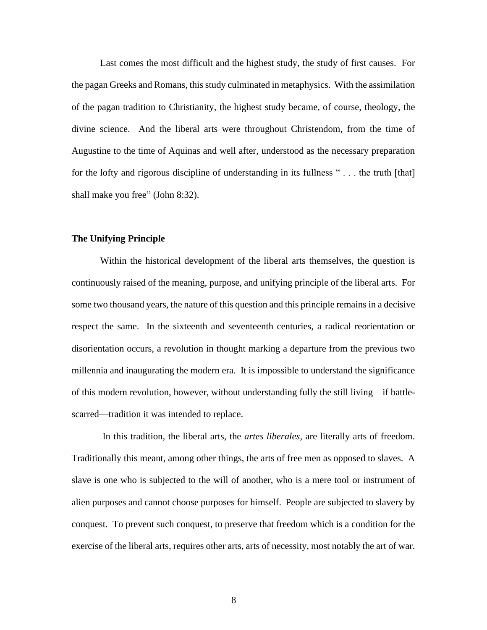Last comes the most difficult and the highest study, the study of first causes. For the pagan Greeks and Romans, this study culminated in metaphysics. With the assimilation of the pagan tradition to Christianity, the highest study became, of course, theology, the divine science. And the liberal arts were throughout Christendom, from the time of Augustine to the time of Aquinas and well after, understood as the necessary preparation for the lofty and rigorous discipline of understanding in its fullness " . . . the truth [that] shall make you free" (John 8:32).

## **The Unifying Principle**

Within the historical development of the liberal arts themselves, the question is continuously raised of the meaning, purpose, and unifying principle of the liberal arts. For some two thousand years, the nature of this question and this principle remains in a decisive respect the same. In the sixteenth and seventeenth centuries, a radical reorientation or disorientation occurs, a revolution in thought marking a departure from the previous two millennia and inaugurating the modern era. It is impossible to understand the significance of this modern revolution, however, without understanding fully the still living—if battlescarred—tradition it was intended to replace.

In this tradition, the liberal arts, the *artes liberales*, are literally arts of freedom. Traditionally this meant, among other things, the arts of free men as opposed to slaves. A slave is one who is subjected to the will of another, who is a mere tool or instrument of alien purposes and cannot choose purposes for himself. People are subjected to slavery by conquest. To prevent such conquest, to preserve that freedom which is a condition for the exercise of the liberal arts, requires other arts, arts of necessity, most notably the art of war.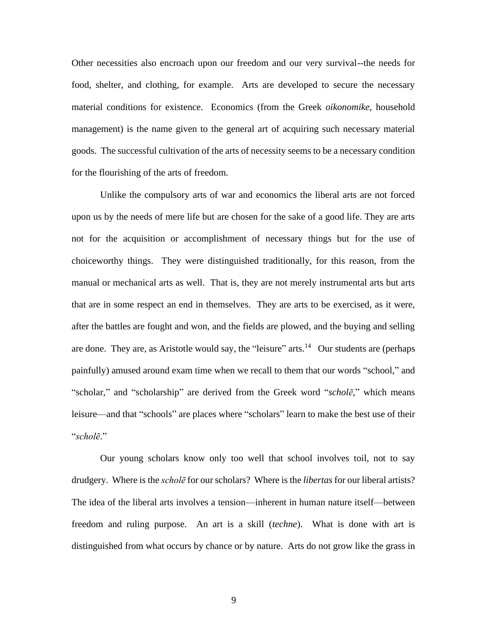Other necessities also encroach upon our freedom and our very survival--the needs for food, shelter, and clothing, for example. Arts are developed to secure the necessary material conditions for existence. Economics (from the Greek *oikonomike*, household management) is the name given to the general art of acquiring such necessary material goods. The successful cultivation of the arts of necessity seems to be a necessary condition for the flourishing of the arts of freedom.

Unlike the compulsory arts of war and economics the liberal arts are not forced upon us by the needs of mere life but are chosen for the sake of a good life. They are arts not for the acquisition or accomplishment of necessary things but for the use of choiceworthy things. They were distinguished traditionally, for this reason, from the manual or mechanical arts as well. That is, they are not merely instrumental arts but arts that are in some respect an end in themselves. They are arts to be exercised, as it were, after the battles are fought and won, and the fields are plowed, and the buying and selling are done. They are, as Aristotle would say, the "leisure" arts.<sup>14</sup> Our students are (perhaps painfully) amused around exam time when we recall to them that our words "school," and "scholar," and "scholarship" are derived from the Greek word "*scholē*," which means leisure—and that "schools" are places where "scholars" learn to make the best use of their "*scholē*."

Our young scholars know only too well that school involves toil, not to say drudgery. Where is the *scholē* for our scholars? Where is the *libertas* for our liberal artists? The idea of the liberal arts involves a tension—inherent in human nature itself—between freedom and ruling purpose. An art is a skill (*techne*). What is done with art is distinguished from what occurs by chance or by nature. Arts do not grow like the grass in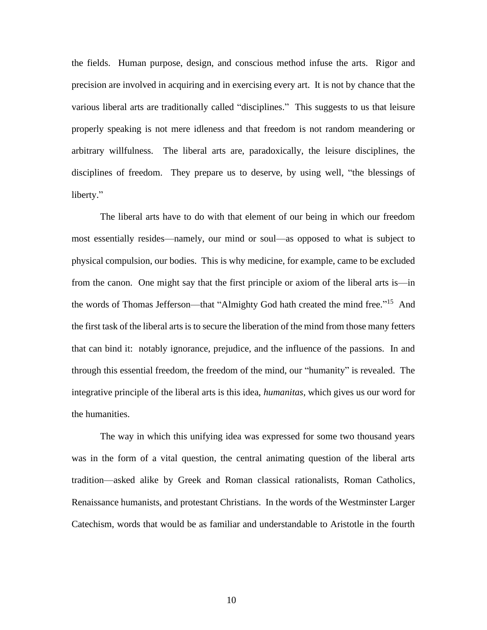the fields. Human purpose, design, and conscious method infuse the arts. Rigor and precision are involved in acquiring and in exercising every art. It is not by chance that the various liberal arts are traditionally called "disciplines." This suggests to us that leisure properly speaking is not mere idleness and that freedom is not random meandering or arbitrary willfulness. The liberal arts are, paradoxically, the leisure disciplines, the disciplines of freedom. They prepare us to deserve, by using well, "the blessings of liberty."

The liberal arts have to do with that element of our being in which our freedom most essentially resides—namely, our mind or soul—as opposed to what is subject to physical compulsion, our bodies. This is why medicine, for example, came to be excluded from the canon. One might say that the first principle or axiom of the liberal arts is—in the words of Thomas Jefferson—that "Almighty God hath created the mind free."<sup>15</sup> And the first task of the liberal arts is to secure the liberation of the mind from those many fetters that can bind it: notably ignorance, prejudice, and the influence of the passions. In and through this essential freedom, the freedom of the mind, our "humanity" is revealed. The integrative principle of the liberal arts is this idea, *humanitas*, which gives us our word for the humanities.

The way in which this unifying idea was expressed for some two thousand years was in the form of a vital question, the central animating question of the liberal arts tradition—asked alike by Greek and Roman classical rationalists, Roman Catholics, Renaissance humanists, and protestant Christians. In the words of the Westminster Larger Catechism, words that would be as familiar and understandable to Aristotle in the fourth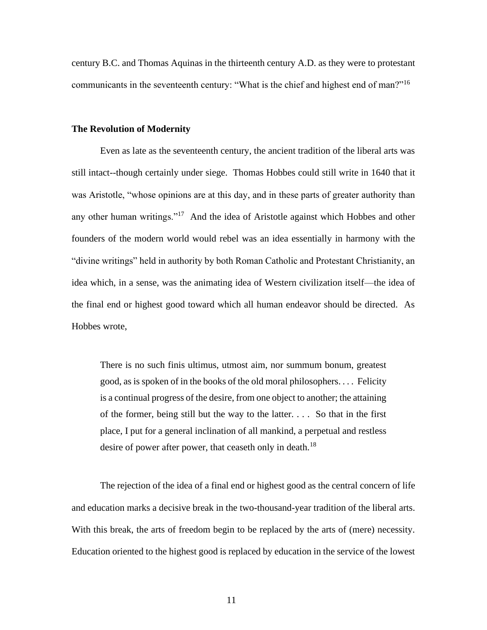century B.C. and Thomas Aquinas in the thirteenth century A.D. as they were to protestant communicants in the seventeenth century: "What is the chief and highest end of man?"<sup>16</sup>

### **The Revolution of Modernity**

Even as late as the seventeenth century, the ancient tradition of the liberal arts was still intact--though certainly under siege. Thomas Hobbes could still write in 1640 that it was Aristotle, "whose opinions are at this day, and in these parts of greater authority than any other human writings."<sup>17</sup> And the idea of Aristotle against which Hobbes and other founders of the modern world would rebel was an idea essentially in harmony with the "divine writings" held in authority by both Roman Catholic and Protestant Christianity, an idea which, in a sense, was the animating idea of Western civilization itself—the idea of the final end or highest good toward which all human endeavor should be directed. As Hobbes wrote,

There is no such finis ultimus, utmost aim, nor summum bonum, greatest good, as is spoken of in the books of the old moral philosophers. . . . Felicity is a continual progress of the desire, from one object to another; the attaining of the former, being still but the way to the latter. . . . So that in the first place, I put for a general inclination of all mankind, a perpetual and restless desire of power after power, that ceaseth only in death.<sup>18</sup>

The rejection of the idea of a final end or highest good as the central concern of life and education marks a decisive break in the two-thousand-year tradition of the liberal arts. With this break, the arts of freedom begin to be replaced by the arts of (mere) necessity. Education oriented to the highest good is replaced by education in the service of the lowest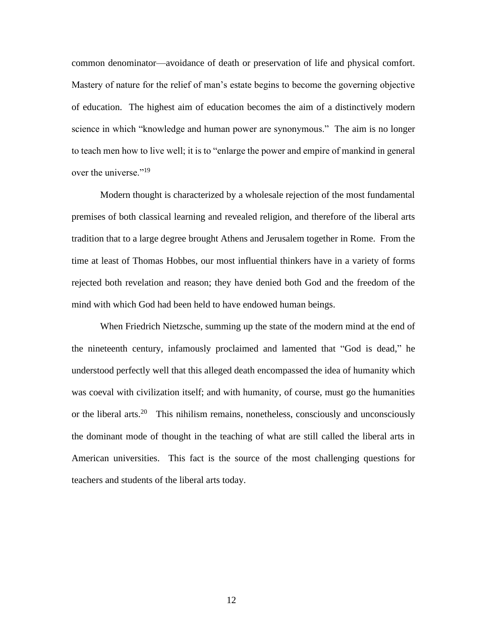common denominator—avoidance of death or preservation of life and physical comfort. Mastery of nature for the relief of man's estate begins to become the governing objective of education. The highest aim of education becomes the aim of a distinctively modern science in which "knowledge and human power are synonymous." The aim is no longer to teach men how to live well; it is to "enlarge the power and empire of mankind in general over the universe."<sup>19</sup>

Modern thought is characterized by a wholesale rejection of the most fundamental premises of both classical learning and revealed religion, and therefore of the liberal arts tradition that to a large degree brought Athens and Jerusalem together in Rome. From the time at least of Thomas Hobbes, our most influential thinkers have in a variety of forms rejected both revelation and reason; they have denied both God and the freedom of the mind with which God had been held to have endowed human beings.

When Friedrich Nietzsche, summing up the state of the modern mind at the end of the nineteenth century, infamously proclaimed and lamented that "God is dead," he understood perfectly well that this alleged death encompassed the idea of humanity which was coeval with civilization itself; and with humanity, of course, must go the humanities or the liberal arts.<sup>20</sup> This nihilism remains, nonetheless, consciously and unconsciously the dominant mode of thought in the teaching of what are still called the liberal arts in American universities. This fact is the source of the most challenging questions for teachers and students of the liberal arts today.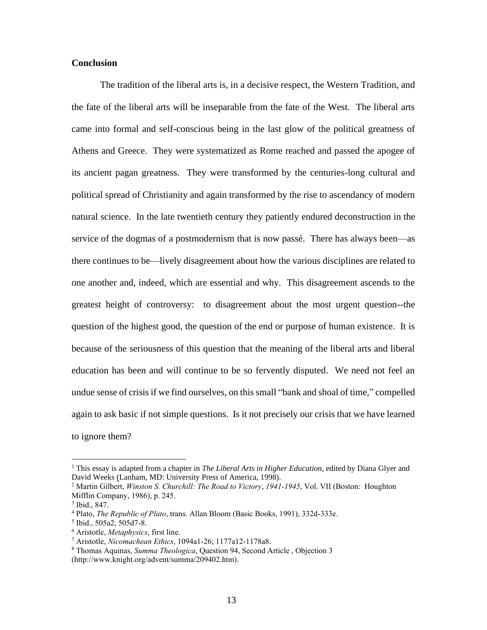### **Conclusion**

The tradition of the liberal arts is, in a decisive respect, the Western Tradition, and the fate of the liberal arts will be inseparable from the fate of the West. The liberal arts came into formal and self-conscious being in the last glow of the political greatness of Athens and Greece. They were systematized as Rome reached and passed the apogee of its ancient pagan greatness. They were transformed by the centuries-long cultural and political spread of Christianity and again transformed by the rise to ascendancy of modern natural science. In the late twentieth century they patiently endured deconstruction in the service of the dogmas of a postmodernism that is now passé. There has always been—as there continues to be—lively disagreement about how the various disciplines are related to one another and, indeed, which are essential and why. This disagreement ascends to the greatest height of controversy: to disagreement about the most urgent question--the question of the highest good, the question of the end or purpose of human existence. It is because of the seriousness of this question that the meaning of the liberal arts and liberal education has been and will continue to be so fervently disputed. We need not feel an undue sense of crisis if we find ourselves, on this small "bank and shoal of time," compelled again to ask basic if not simple questions. Is it not precisely our crisis that we have learned to ignore them?

<sup>1</sup> This essay is adapted from a chapter in *The Liberal Arts in Higher Education*, edited by Diana Glyer and David Weeks (Lanham, MD: University Press of America, 1998).

<sup>2</sup> Martin Gilbert, *Winston S. Churchill: The Road to Victory*, *1941-1945*, Vol. VII (Boston: Houghton Mifflin Company, 1986), p. 245.

<sup>3</sup> Ibid., 847.

<sup>4</sup> Plato, *The Republic of Plato*, trans. Allan Bloom (Basic Books, 1991), 332d-333e.

<sup>5</sup> Ibid., 505a2, 505d7-8.

<sup>6</sup> Aristotle, *Metaphysics*, first line.

<sup>7</sup> Aristotle, *Nicomachean Ethics*, 1094a1-26; 1177a12-1178a8.

<sup>8</sup> Thomas Aquinas, *Summa Theologica*, Question 94, Second Article , Objection 3 (http://www.knight.org/advent/summa/209402.htm).